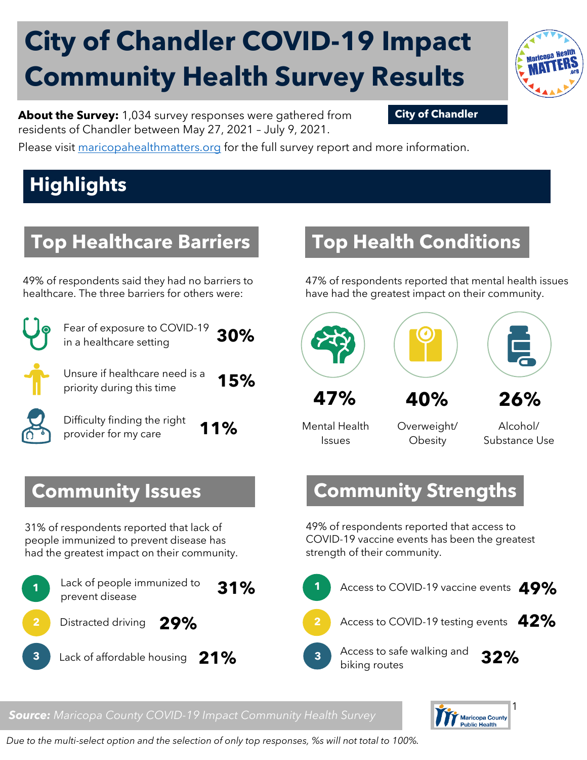# **City of Chandler COVID-19 Impact Community Health Survey Results**



**About the Survey:** 1,034 survey responses were gathered from **City of Chandler** residents of Chandler between May 27, 2021 – July 9, 2021.

Please visit [maricopahealthmatters.org](https://www.maricopa.gov/5100/Health-Data-Maricopa-Health-Matters) for the full survey report and more information.

## **Highlights**

#### **Top Healthcare Barriers**

49% of respondents said they had no barriers to healthcare. The three barriers for others were:



Fear of exposure to COVID-19 in a healthcare setting **30%** 

Unsure if healthcare need is a priority during this time **15%**

Difficulty finding the right provider for my care **11%**

#### **Community Issues**

31% of respondents reported that lack of people immunized to prevent disease has had the greatest impact on their community.



#### **Top Health Conditions**

47% of respondents reported that mental health issues have had the greatest impact on their community.



Mental Health Issues

Overweight/ **Obesity** 

Alcohol/ Substance Use

#### **Community Strengths**

49% of respondents reported that access to COVID-19 vaccine events has been the greatest strength of their community.



*Source: Maricopa County COVID-19 Impact Community Health Survey*



*Due to the multi-select option and the selection of only top responses, %s will not total to 100%.*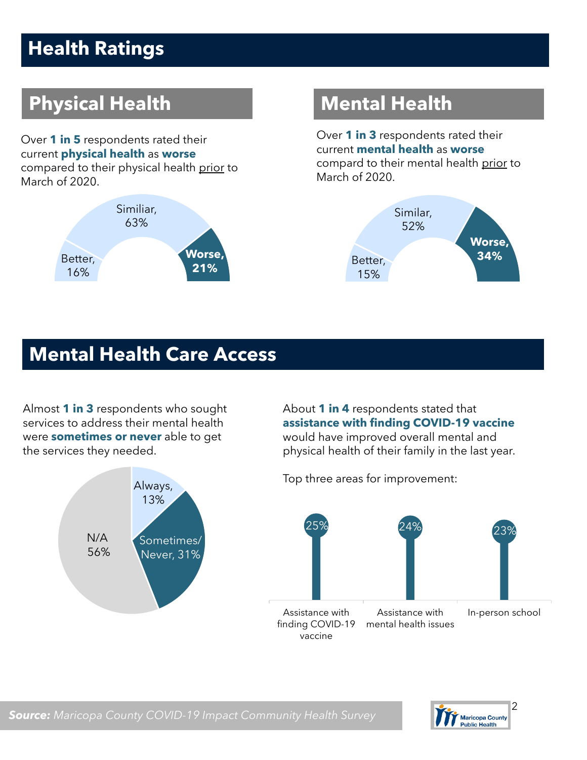## **Health Ratings**

## **Physical Health Mental Health**

Over **1 in 5** respondents rated their current **physical health** as **worse** compared to their physical health prior to March of 2020.



Over **1 in 3** respondents rated their current **mental health** as **worse** compard to their mental health prior to March of 2020.



#### **Mental Health Care Access**

Almost **1 in 3** respondents who sought services to address their mental health were **sometimes or never** able to get the services they needed.



About **1 in 4** respondents stated that **assistance with finding COVID-19 vaccine** would have improved overall mental and physical health of their family in the last year.

Top three areas for improvement:





*Source: Maricopa County COVID-19 Impact Community Health Survey*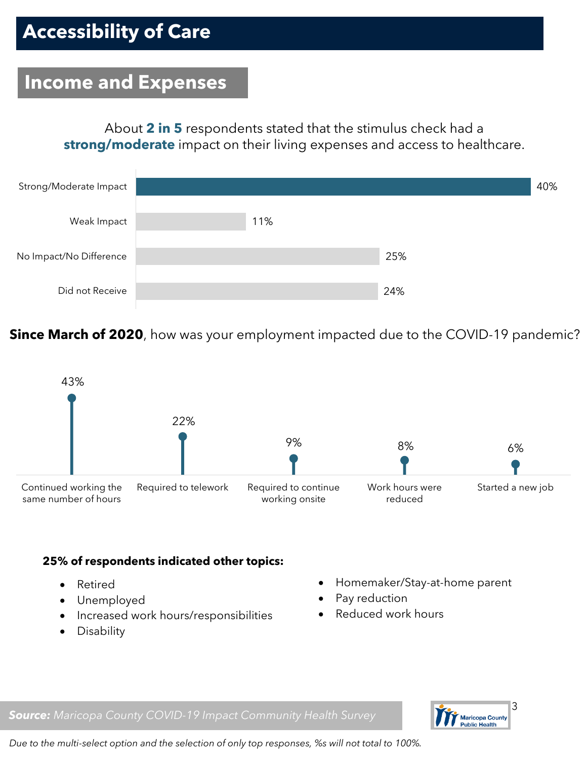#### **Income and Expenses**

About **2 in 5** respondents stated that the stimulus check had a **strong/moderate** impact on their living expenses and access to healthcare.



**Since March of 2020**, how was your employment impacted due to the COVID-19 pandemic?



#### **25% of respondents indicated other topics:**

- Retired
- Unemployed
- Increased work hours/responsibilities
- Disability
- Homemaker/Stay-at-home parent
- Pay reduction
- Reduced work hours



*Source: Maricopa County COVID-19 Impact Community Health Survey*

*Due to the multi-select option and the selection of only top responses, %s will not total to 100%.*